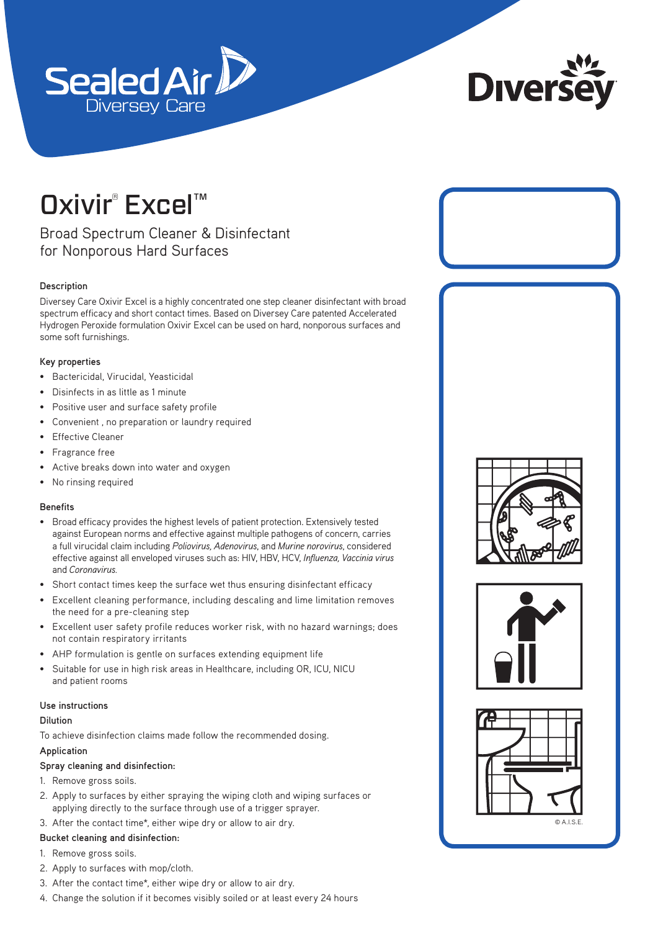



# **Oxivir®** Excel™

# Broad Spectrum Cleaner & Disinfectant for Nonporous Hard Surfaces

# **Description**

Diversey Care Oxivir Excel is a highly concentrated one step cleaner disinfectant with broad spectrum efficacy and short contact times. Based on Diversey Care patented Accelerated Hydrogen Peroxide formulation Oxivir Excel can be used on hard, nonporous surfaces and some soft furnishings.

# **Key properties**

- Bactericidal, Virucidal, Yeasticidal
- Disinfects in as little as 1 minute
- Positive user and surface safety profile
- Convenient , no preparation or laundry required
- **Effective Cleaner**
- Fragrance free
- Active breaks down into water and oxygen
- No rinsing required

### **Benefits**

- Broad efficacy provides the highest levels of patient protection. Extensively tested against European norms and effective against multiple pathogens of concern, carries a full virucidal claim including *Poliovirus, Adenovirus*, and *Murine norovirus*, considered effective against all enveloped viruses such as: HIV, HBV, HCV, *Influenza, Vaccinia virus* and *Coronavirus.*
- Short contact times keep the surface wet thus ensuring disinfectant efficacy
- Excellent cleaning performance, including descaling and lime limitation removes the need for a pre-cleaning step
- Excellent user safety profile reduces worker risk, with no hazard warnings; does not contain respiratory irritants
- AHP formulation is gentle on surfaces extending equipment life
- Suitable for use in high risk areas in Healthcare, including OR, ICU, NICU and patient rooms

### **Use instructions**

### **Dilution**

To achieve disinfection claims made follow the recommended dosing.

### **Application**

### **Spray cleaning and disinfection:**

- 1. Remove gross soils.
- 2. Apply to surfaces by either spraying the wiping cloth and wiping surfaces or applying directly to the surface through use of a trigger sprayer.
- 3. After the contact time\*, either wipe dry or allow to air dry.

# **Bucket cleaning and disinfection:**

- 1. Remove gross soils.
- 2. Apply to surfaces with mop/cloth.
- 3. After the contact time\*, either wipe dry or allow to air dry.
- 4. Change the solution if it becomes visibly soiled or at least every 24 hours